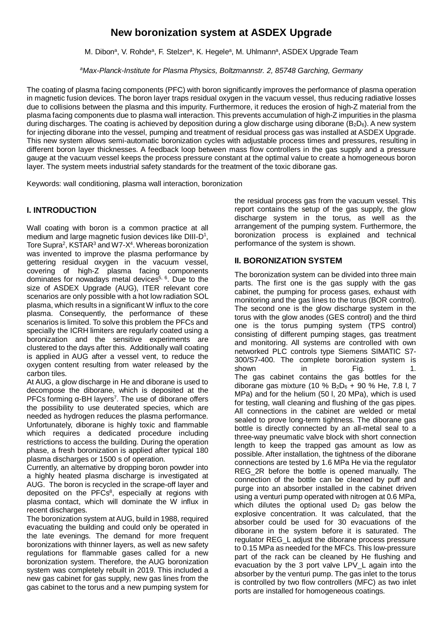# **New boronization system at ASDEX Upgrade**

M. Dibon<sup>a</sup>, V. Rohde<sup>a</sup>, F. Stelzer<sup>a</sup>, K. Hegele<sup>a</sup>, M. Uhlmann<sup>a</sup>, ASDEX Upgrade Team

*<sup>a</sup>Max-Planck-Institute for Plasma Physics, Boltzmannstr. 2, 85748 Garching, Germany*

The coating of plasma facing components (PFC) with boron significantly improves the performance of plasma operation in magnetic fusion devices. The boron layer traps residual oxygen in the vacuum vessel, thus reducing radiative losses due to collisions between the plasma and this impurity. Furthermore, it reduces the erosion of high-Z material from the plasma facing components due to plasma wall interaction. This prevents accumulation of high-Z impurities in the plasma during discharges. The coating is achieved by deposition during a glow discharge using diborane ( $B_2D_6$ ). A new system for injecting diborane into the vessel, pumping and treatment of residual process gas was installed at ASDEX Upgrade. This new system allows semi-automatic boronization cycles with adjustable process times and pressures, resulting in different boron layer thicknesses. A feedback loop between mass flow controllers in the gas supply and a pressure gauge at the vacuum vessel keeps the process pressure constant at the optimal value to create a homogeneous boron layer. The system meets industrial safety standards for the treatment of the toxic diborane gas.

Keywords: wall conditioning, plasma wall interaction, boronization

# **I. INTRODUCTION**

Wall coating with boron is a common practice at all medium and large magnetic fusion devices like  $DIII-D<sup>1</sup>$ , Tore Supra<sup>2</sup>, KSTAR<sup>3</sup> and W7-X<sup>4</sup>. Whereas boronization was invented to improve the plasma performance by gettering residual oxygen in the vacuum vessel, covering of high-Z plasma facing components dominates for nowadays metal devices<sup>5, 6</sup>. Due to the size of ASDEX Upgrade (AUG), ITER relevant core scenarios are only possible with a hot low radiation SOL plasma, which results in a significant W influx to the core plasma. Consequently, the performance of these scenarios is limited. To solve this problem the PFCs and specially the ICRH limiters are regularly coated using a boronization and the sensitive experiments are clustered to the days after this. Additionally wall coating is applied in AUG after a vessel vent, to reduce the oxygen content resulting from water released by the carbon tiles.

At AUG, a glow discharge in He and diborane is used to decompose the diborane, which is deposited at the PFCs forming  $α$ -BH layers<sup>7</sup>. The use of diborane offers the possibility to use deuterated species, which are needed as hydrogen reduces the plasma performance. Unfortunately, diborane is highly toxic and flammable which requires a dedicated procedure including restrictions to access the building. During the operation phase, a fresh boronization is applied after typical 180 plasma discharges or 1500 s of operation.

Currently, an alternative by dropping boron powder into a highly heated plasma discharge is investigated at AUG. The boron is recycled in the scrape-off layer and deposited on the PFCs $8$ , especially at regions with plasma contact, which will dominate the W influx in recent discharges.

The boronization system at AUG, build in 1988, required evacuating the building and could only be operated in the late evenings. The demand for more frequent boronizations with thinner layers, as well as new safety regulations for flammable gases called for a new boronization system. Therefore, the AUG boronization system was completely rebuilt in 2019. This included a new gas cabinet for gas supply, new gas lines from the gas cabinet to the torus and a new pumping system for

the residual process gas from the vacuum vessel. This report contains the setup of the gas supply, the glow discharge system in the torus, as well as the arrangement of the pumping system. Furthermore, the boronization process is explained and technical performance of the system is shown.

# **II. BORONIZATION SYSTEM**

The boronization system can be divided into three main parts. The first one is the gas supply with the gas cabinet, the pumping for process gases, exhaust with monitoring and the gas lines to the torus (BOR control). The second one is the glow discharge system in the torus with the glow anodes (GES control) and the third one is the torus pumping system (TPS control) consisting of different pumping stages, gas treatment and monitoring. All systems are controlled with own networked PLC controls type Siemens SIMATIC S7- 300/S7-400. The complete boronization system is shown in Fig. 1. The gas cabinet contains the gas bottles for the diborane gas mixture (10 %  $B_2D_6 + 90$  % He, 7.8 l, 7 MPa) and for the helium (50 l, 20 MPa), which is used for testing, wall cleaning and flushing of the gas pipes. All connections in the cabinet are welded or metal sealed to prove long-term tightness. The diborane gas bottle is directly connected by an all-metal seal to a three-way pneumatic valve block with short connection length to keep the trapped gas amount as low as possible. After installation, the tightness of the diborane connections are tested by 1.6 MPa He via the regulator REG 2R before the bottle is opened manually. The connection of the bottle can be cleaned by puff and purge into an absorber installed in the cabinet driven using a venturi pump operated with nitrogen at 0.6 MPa, which dilutes the optional used  $D_2$  gas below the explosive concentration. It was calculated, that the absorber could be used for 30 evacuations of the diborane in the system before it is saturated. The regulator REG\_L adjust the diborane process pressure to 0.15 MPa as needed for the MFCs. This low-pressure part of the rack can be cleaned by He flushing and evacuation by the 3 port valve LPV\_L again into the absorber by the venturi pump. The gas inlet to the torus is controlled by two flow controllers (MFC) as two inlet ports are installed for homogeneous coatings.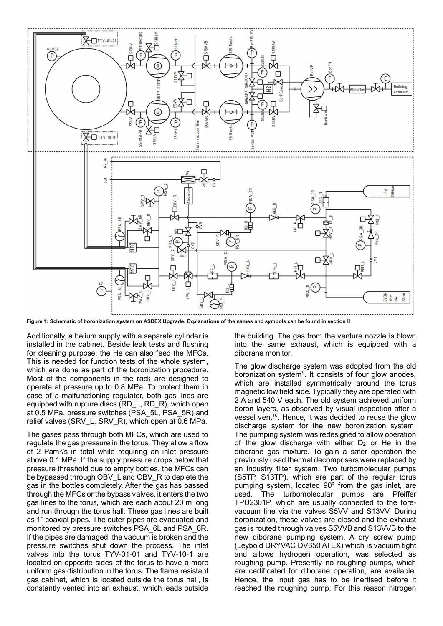

**Figure 1: Schematic of boronization system on ASDEX Upgrade. Explanations of the names and symbols can be found in section II**

Additionally, a helium supply with a separate cylinder is installed in the cabinet. Beside leak tests and flushing for cleaning purpose, the He can also feed the MFCs. This is needed for function tests of the whole system, which are done as part of the boronization procedure. Most of the components in the rack are designed to operate at pressure up to 0.8 MPa. To protect them in case of a malfunctioning regulator, both gas lines are equipped with rupture discs (RD\_L, RD\_R), which open at 0.5 MPa, pressure switches (PSA\_5L, PSA\_5R) and relief valves (SRV\_L, SRV\_R), which open at 0.6 MPa.

The gases pass through both MFCs, which are used to regulate the gas pressure in the torus. They allow a flow of 2 Pam<sup>3</sup>/s in total while requiring an inlet pressure above 0.1 MPa. If the supply pressure drops below that pressure threshold due to empty bottles, the MFCs can be bypassed through OBV\_L and OBV\_R to deplete the gas in the bottles completely. After the gas has passed through the MFCs or the bypass valves, it enters the two gas lines to the torus, which are each about 20 m long and run through the torus hall. These gas lines are built as 1" coaxial pipes. The outer pipes are evacuated and monitored by pressure switches PSA\_6L and PSA\_6R. If the pipes are damaged, the vacuum is broken and the pressure switches shut down the process. The inlet valves into the torus TYV-01-01 and TYV-10-1 are located on opposite sides of the torus to have a more uniform gas distribution in the torus. The flame resistant gas cabinet, which is located outside the torus hall, is constantly vented into an exhaust, which leads outside

the building. The gas from the venture nozzle is blown into the same exhaust, which is equipped with a diborane monitor.

The glow discharge system was adopted from the old boronization system<sup>9</sup>. It consists of four glow anodes, which are installed symmetrically around the torus magnetic low field side. Typically they are operated with 2 A and 540 V each. The old system achieved uniform boron layers, as observed by visual inspection after a vessel vent<sup>10</sup>. Hence, it was decided to reuse the glow discharge system for the new boronization system. The pumping system was redesigned to allow operation of the glow discharge with either  $D_2$  or He in the diborane gas mixture. To gain a safer operation the previously used thermal decomposers were replaced by an industry filter system. Two turbomolecular pumps (S5TP, S13TP), which are part of the regular torus pumping system, located 90° from the gas inlet, are used. The turbomolecular pumps are Pfeiffer TPU2301P, which are usually connected to the forevacuum line via the valves S5VV and S13VV. During boronization, these valves are closed and the exhaust gas is routed through valves S5VVB and S13VVB to the new diborane pumping system. A dry screw pump (Leybold DRYVAC DV650 ATEX) which is vacuum tight and allows hydrogen operation, was selected as roughing pump. Presently no roughing pumps, which are certificated for diborane operation, are available. Hence, the input gas has to be inertised before it reached the roughing pump. For this reason nitrogen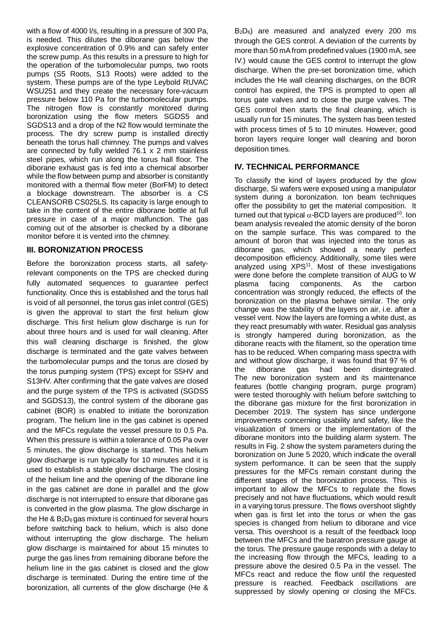with a flow of 4000 l/s, resulting in a pressure of 300 Pa, is needed. This dilutes the diborane gas below the explosive concentration of 0.9% and can safely enter the screw pump. As this results in a pressure to high for the operation of the turbomolecular pumps, two roots pumps (S5 Roots, S13 Roots) were added to the system. These pumps are of the type Leybold RUVAC WSU251 and they create the necessary fore-vacuum pressure below 110 Pa for the turbomolecular pumps. The nitrogen flow is constantly monitored during boronization using the flow meters SGDS5 and SGDS13 and a drop of the N2 flow would terminate the process. The dry screw pump is installed directly beneath the torus hall chimney. The pumps and valves are connected by fully welded 76.1 x 2 mm stainless steel pipes, which run along the torus hall floor. The diborane exhaust gas is fed into a chemical absorber while the flow between pump and absorber is constantly monitored with a thermal flow meter (BorFM) to detect a blockage downstream. The absorber is a CS CLEANSORB CS025LS. Its capacity is large enough to take in the content of the entire diborane bottle at full pressure in case of a major malfunction. The gas coming out of the absorber is checked by a diborane monitor before it is vented into the chimney.

### **III. BORONIZATION PROCESS**

Before the boronization process starts, all safetyrelevant components on the TPS are checked during fully automated sequences to guarantee perfect functionality. Once this is established and the torus hall is void of all personnel, the torus gas inlet control (GES) is given the approval to start the first helium glow discharge. This first helium glow discharge is run for about three hours and is used for wall cleaning. After this wall cleaning discharge is finished, the glow discharge is terminated and the gate valves between the turbomolecular pumps and the torus are closed by the torus pumping system (TPS) except for S5HV and S13HV. After confirming that the gate valves are closed and the purge system of the TPS is activated (SGDS5 and SGDS13), the control system of the diborane gas cabinet (BOR) is enabled to initiate the boronization program. The helium line in the gas cabinet is opened and the MFCs regulate the vessel pressure to 0.5 Pa. When this pressure is within a tolerance of 0.05 Pa over 5 minutes, the glow discharge is started. This helium glow discharge is run typically for 10 minutes and it is used to establish a stable glow discharge. The closing of the helium line and the opening of the diborane line in the gas cabinet are done in parallel and the glow discharge is not interrupted to ensure that diborane gas is converted in the glow plasma. The glow discharge in the He  $\&$  B<sub>2</sub>D<sub>6</sub> gas mixture is continued for several hours before switching back to helium, which is also done without interrupting the glow discharge. The helium glow discharge is maintained for about 15 minutes to purge the gas lines from remaining diborane before the helium line in the gas cabinet is closed and the glow discharge is terminated. During the entire time of the boronization, all currents of the glow discharge (He &

B<sub>2</sub>D<sub>6</sub>) are measured and analyzed every 200 ms through the GES control. A deviation of the currents by more than 50 mA from predefined values (1900 mA, see IV.) would cause the GES control to interrupt the glow discharge. When the pre-set boronization time, which includes the He wall cleaning discharges, on the BOR control has expired, the TPS is prompted to open all torus gate valves and to close the purge valves. The GES control then starts the final cleaning, which is usually run for 15 minutes. The system has been tested with process times of 5 to 10 minutes. However, good boron layers require longer wall cleaning and boron deposition times.

# **IV. TECHNICAL PERFORMANCE**

To classify the kind of layers produced by the glow discharge, Si wafers were exposed using a manipulator system during a boronization. Ion beam techniques offer the possibility to get the material composition. It turned out that typical  $\alpha$ -BCD layers are produced<sup>10</sup>. Ion beam analysis revealed the atomic density of the boron on the sample surface. This was compared to the amount of boron that was injected into the torus as diborane gas, which showed a nearly perfect decomposition efficiency. Additionally, some tiles were analyzed using XPS<sup>11</sup>. Most of these investigations were done before the complete transition of AUG to W plasma facing components. As the carbon concentration was strongly reduced, the effects of the boronization on the plasma behave similar. The only change was the stability of the layers on air, i.e. after a vessel vent. Now the layers are forming a white dust, as they react presumably with water. Residual gas analysis is strongly hampered during boronization, as the diborane reacts with the filament, so the operation time has to be reduced. When comparing mass spectra with and without glow discharge, it was found that 97 % of the diborane gas had been disintegrated. The new boronization system and its maintenance features (bottle changing program, purge program) were tested thoroughly with helium before switching to the diborane gas mixture for the first boronization in December 2019. The system has since undergone improvements concerning usability and safety, like the visualization of timers or the implementation of the diborane monitors into the building alarm system. The results in Fig. 2 show the system parameters during the boronization on June 5 2020, which indicate the overall system performance. It can be seen that the supply pressures for the MFCs remain constant during the different stages of the boronization process. This is important to allow the MFCs to regulate the flows precisely and not have fluctuations, which would result in a varying torus pressure. The flows overshoot slightly when gas is first let into the torus or when the gas species is changed from helium to diborane and vice versa. This overshoot is a result of the feedback loop between the MFCs and the baratron pressure gauge at the torus. The pressure gauge responds with a delay to the increasing flow through the MFCs, leading to a pressure above the desired 0.5 Pa in the vessel. The MFCs react and reduce the flow until the requested pressure is reached. Feedback oscillations are suppressed by slowly opening or closing the MFCs.